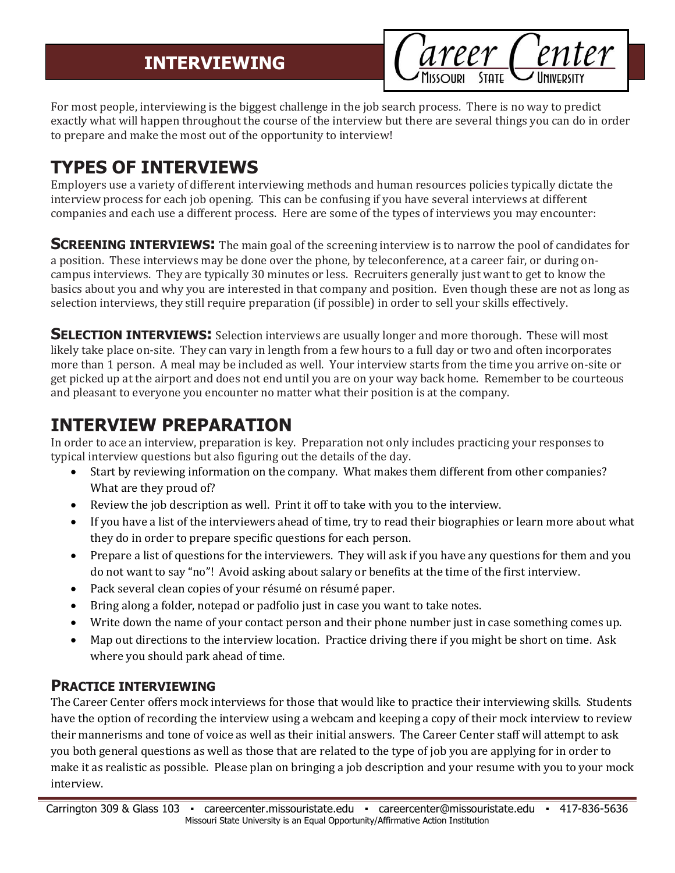areer Center

For most people, interviewing is the biggest challenge in the job search process. There is no way to predict exactly what will happen throughout the course of the interview but there are several things you can do in order to prepare and make the most out of the opportunity to interview!

# **TYPES OF INTERVIEWS**

Employers use a variety of different interviewing methods and human resources policies typically dictate the interview process for each job opening. This can be confusing if you have several interviews at different companies and each use a different process. Here are some of the types of interviews you may encounter:

**SCREENING INTERVIEWS:** The main goal of the screening interview is to narrow the pool of candidates for a position. These interviews may be done over the phone, by teleconference, at a career fair, or during oncampus interviews. They are typically 30 minutes or less. Recruiters generally just want to get to know the basics about you and why you are interested in that company and position. Even though these are not as long as selection interviews, they still require preparation (if possible) in order to sell your skills effectively.

**SELECTION INTERVIEWS:** Selection interviews are usually longer and more thorough. These will most likely take place on-site. They can vary in length from a few hours to a full day or two and often incorporates more than 1 person. A meal may be included as well. Your interview starts from the time you arrive on-site or get picked up at the airport and does not end until you are on your way back home. Remember to be courteous and pleasant to everyone you encounter no matter what their position is at the company.

## **INTERVIEW PREPARATION**

In order to ace an interview, preparation is key. Preparation not only includes practicing your responses to typical interview questions but also figuring out the details of the day.

- Start by reviewing information on the company. What makes them different from other companies? What are they proud of?
- Review the job description as well. Print it off to take with you to the interview.
- If you have a list of the interviewers ahead of time, try to read their biographies or learn more about what they do in order to prepare specific questions for each person.
- Prepare a list of questions for the interviewers. They will ask if you have any questions for them and you do not want to say "no"! Avoid asking about salary or benefits at the time of the first interview.
- Pack several clean copies of your résumé on résumé paper.
- Bring along a folder, notepad or padfolio just in case you want to take notes.
- Write down the name of your contact person and their phone number just in case something comes up.
- Map out directions to the interview location. Practice driving there if you might be short on time. Ask where you should park ahead of time.

### **PRACTICE INTERVIEWING**

The Career Center offers mock interviews for those that would like to practice their interviewing skills. Students have the option of recording the interview using a webcam and keeping a copy of their mock interview to review their mannerisms and tone of voice as well as their initial answers. The Career Center staff will attempt to ask you both general questions as well as those that are related to the type of job you are applying for in order to make it as realistic as possible. Please plan on bringing a job description and your resume with you to your mock interview.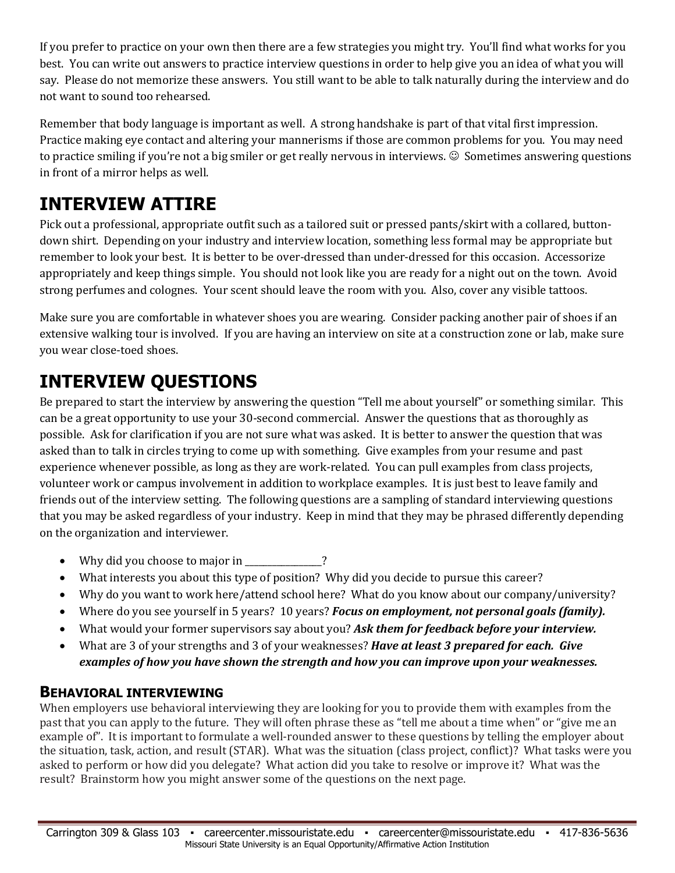If you prefer to practice on your own then there are a few strategies you might try. You'll find what works for you best. You can write out answers to practice interview questions in order to help give you an idea of what you will say. Please do not memorize these answers. You still want to be able to talk naturally during the interview and do not want to sound too rehearsed.

Remember that body language is important as well. A strong handshake is part of that vital first impression. Practice making eye contact and altering your mannerisms if those are common problems for you. You may need to practice smiling if you're not a big smiler or get really nervous in interviews.  $\odot$  Sometimes answering questions in front of a mirror helps as well.

## **INTERVIEW ATTIRE**

Pick out a professional, appropriate outfit such as a tailored suit or pressed pants/skirt with a collared, buttondown shirt. Depending on your industry and interview location, something less formal may be appropriate but remember to look your best. It is better to be over-dressed than under-dressed for this occasion. Accessorize appropriately and keep things simple. You should not look like you are ready for a night out on the town. Avoid strong perfumes and colognes. Your scent should leave the room with you. Also, cover any visible tattoos.

Make sure you are comfortable in whatever shoes you are wearing. Consider packing another pair of shoes if an extensive walking tour is involved. If you are having an interview on site at a construction zone or lab, make sure you wear close-toed shoes.

## **INTERVIEW QUESTIONS**

Be prepared to start the interview by answering the question "Tell me about yourself" or something similar. This can be a great opportunity to use your 30-second commercial. Answer the questions that as thoroughly as possible. Ask for clarification if you are not sure what was asked. It is better to answer the question that was asked than to talk in circles trying to come up with something. Give examples from your resume and past experience whenever possible, as long as they are work-related. You can pull examples from class projects, volunteer work or campus involvement in addition to workplace examples. It is just best to leave family and friends out of the interview setting. The following questions are a sampling of standard interviewing questions that you may be asked regardless of your industry. Keep in mind that they may be phrased differently depending on the organization and interviewer.

- Why did you choose to major in 2
- What interests you about this type of position? Why did you decide to pursue this career?
- Why do you want to work here/attend school here? What do you know about our company/university?
- Where do you see yourself in 5 years? 10 years? *Focus on employment, not personal goals (family).*
- What would your former supervisors say about you? *Ask them for feedback before your interview.*
- What are 3 of your strengths and 3 of your weaknesses? *Have at least 3 prepared for each. Give examples of how you have shown the strength and how you can improve upon your weaknesses.*

### **BEHAVIORAL INTERVIEWING**

When employers use behavioral interviewing they are looking for you to provide them with examples from the past that you can apply to the future. They will often phrase these as "tell me about a time when" or "give me an example of". It is important to formulate a well-rounded answer to these questions by telling the employer about the situation, task, action, and result (STAR). What was the situation (class project, conflict)? What tasks were you asked to perform or how did you delegate? What action did you take to resolve or improve it? What was the result? Brainstorm how you might answer some of the questions on the next page.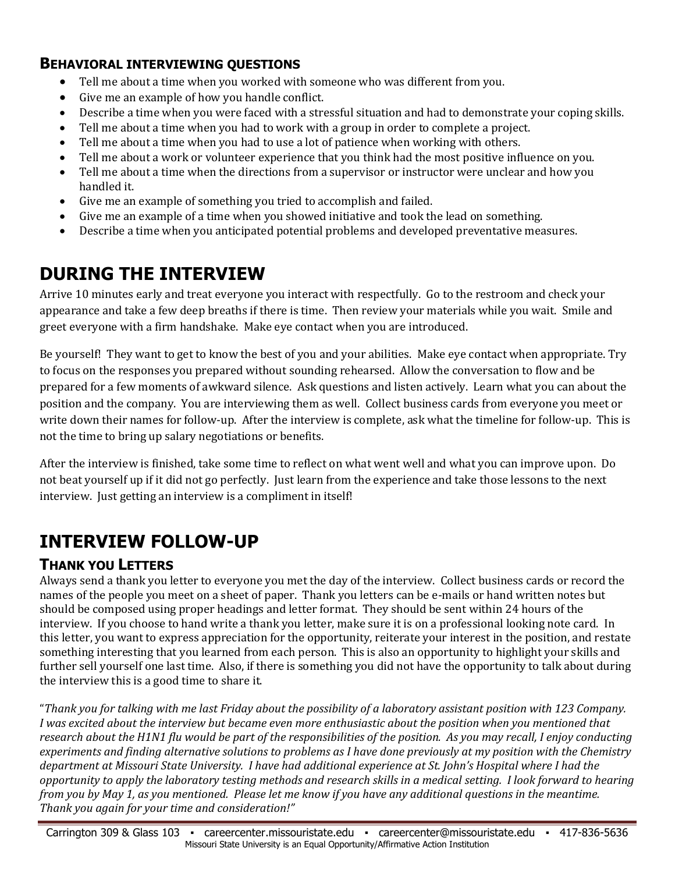#### **BEHAVIORAL INTERVIEWING QUESTIONS**

- Tell me about a time when you worked with someone who was different from you.
- Give me an example of how you handle conflict.
- Describe a time when you were faced with a stressful situation and had to demonstrate your coping skills.
- Tell me about a time when you had to work with a group in order to complete a project.
- Tell me about a time when you had to use a lot of patience when working with others.
- Tell me about a work or volunteer experience that you think had the most positive influence on you.
- Tell me about a time when the directions from a supervisor or instructor were unclear and how you handled it.
- Give me an example of something you tried to accomplish and failed.
- Give me an example of a time when you showed initiative and took the lead on something.
- Describe a time when you anticipated potential problems and developed preventative measures.

### **DURING THE INTERVIEW**

Arrive 10 minutes early and treat everyone you interact with respectfully. Go to the restroom and check your appearance and take a few deep breaths if there is time. Then review your materials while you wait. Smile and greet everyone with a firm handshake. Make eye contact when you are introduced.

Be yourself! They want to get to know the best of you and your abilities. Make eye contact when appropriate. Try to focus on the responses you prepared without sounding rehearsed. Allow the conversation to flow and be prepared for a few moments of awkward silence. Ask questions and listen actively. Learn what you can about the position and the company. You are interviewing them as well. Collect business cards from everyone you meet or write down their names for follow-up. After the interview is complete, ask what the timeline for follow-up. This is not the time to bring up salary negotiations or benefits.

After the interview is finished, take some time to reflect on what went well and what you can improve upon. Do not beat yourself up if it did not go perfectly. Just learn from the experience and take those lessons to the next interview. Just getting an interview is a compliment in itself!

## **INTERVIEW FOLLOW-UP**

#### **THANK YOU LETTERS**

Always send a thank you letter to everyone you met the day of the interview. Collect business cards or record the names of the people you meet on a sheet of paper. Thank you letters can be e-mails or hand written notes but should be composed using proper headings and letter format. They should be sent within 24 hours of the interview. If you choose to hand write a thank you letter, make sure it is on a professional looking note card. In this letter, you want to express appreciation for the opportunity, reiterate your interest in the position, and restate something interesting that you learned from each person. This is also an opportunity to highlight your skills and further sell yourself one last time. Also, if there is something you did not have the opportunity to talk about during the interview this is a good time to share it.

"*Thank you for talking with me last Friday about the possibility of a laboratory assistant position with 123 Company. I was excited about the interview but became even more enthusiastic about the position when you mentioned that research about the H1N1 flu would be part of the responsibilities of the position. As you may recall, I enjoy conducting experiments and finding alternative solutions to problems as I have done previously at my position with the Chemistry department at Missouri State University. I have had additional experience at St. John's Hospital where I had the opportunity to apply the laboratory testing methods and research skills in a medical setting. I look forward to hearing from you by May 1, as you mentioned. Please let me know if you have any additional questions in the meantime. Thank you again for your time and consideration!"*